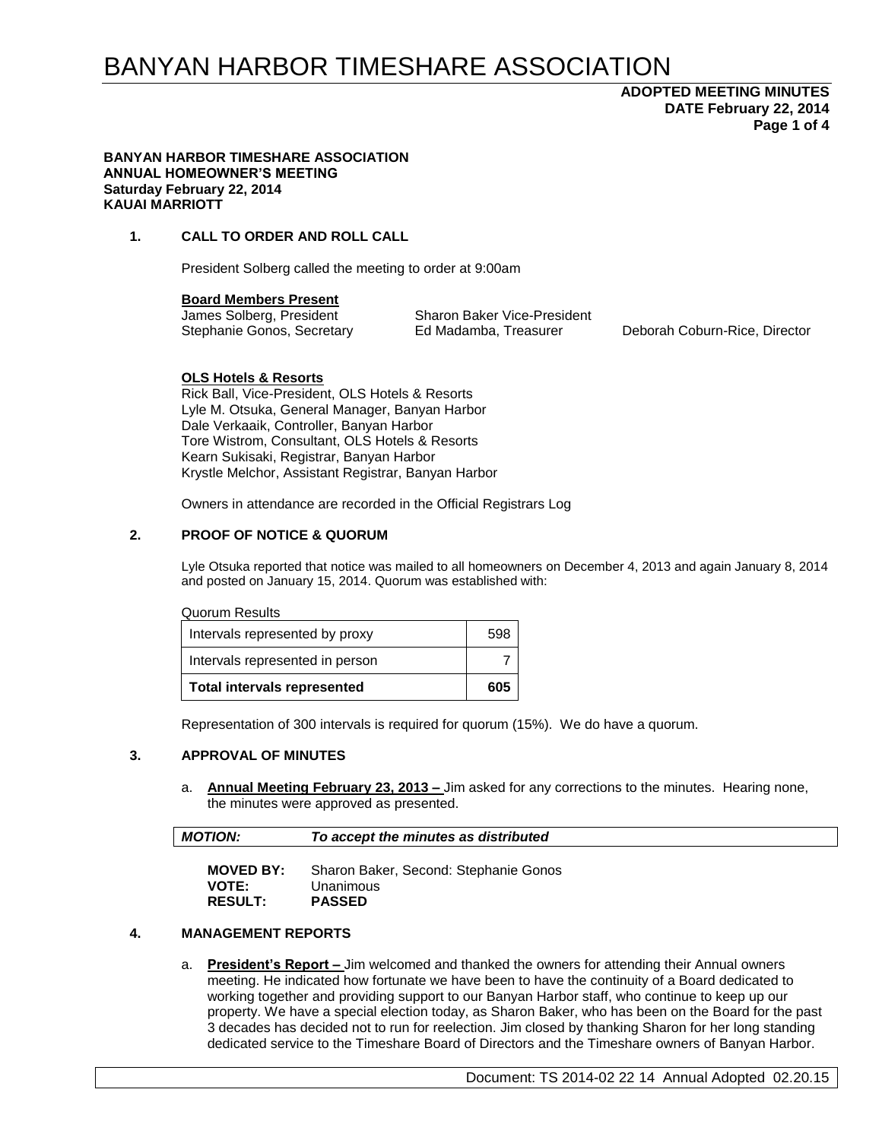## **ADOPTED MEETING MINUTES DATE February 22, 2014 Page 1 of 4**

#### **BANYAN HARBOR TIMESHARE ASSOCIATION ANNUAL HOMEOWNER'S MEETING Saturday February 22, 2014 KAUAI MARRIOTT**

### **1. CALL TO ORDER AND ROLL CALL**

President Solberg called the meeting to order at 9:00am

**Board Members Present**

James Solberg, President Sharon Baker Vice-President Stephanie Gonos, Secretary Ed Madamba, Treasurer Deborah Coburn-Rice, Director

#### **OLS Hotels & Resorts**

Rick Ball, Vice-President, OLS Hotels & Resorts Lyle M. Otsuka, General Manager, Banyan Harbor Dale Verkaaik, Controller, Banyan Harbor Tore Wistrom, Consultant, OLS Hotels & Resorts Kearn Sukisaki, Registrar, Banyan Harbor Krystle Melchor, Assistant Registrar, Banyan Harbor

Owners in attendance are recorded in the Official Registrars Log

### **2. PROOF OF NOTICE & QUORUM**

Lyle Otsuka reported that notice was mailed to all homeowners on December 4, 2013 and again January 8, 2014 and posted on January 15, 2014. Quorum was established with:

#### Quorum Results

| <b>Total intervals represented</b> | 605 |  |
|------------------------------------|-----|--|
| Intervals represented in person    |     |  |
| Intervals represented by proxy     | 598 |  |

Representation of 300 intervals is required for quorum (15%). We do have a quorum.

#### **3. APPROVAL OF MINUTES**

a. **Annual Meeting February 23, 2013 –** Jim asked for any corrections to the minutes. Hearing none, the minutes were approved as presented.

| <b>MOTION:</b> | To accept the minutes as distributed |  |
|----------------|--------------------------------------|--|
|----------------|--------------------------------------|--|

| <b>MOVED BY:</b> | Sharon Baker, Second: Stephanie Gonos |
|------------------|---------------------------------------|
| <b>VOTE:</b>     | Unanimous                             |
| <b>RESULT:</b>   | <b>PASSED</b>                         |

#### **4. MANAGEMENT REPORTS**

a. **President's Report –** Jim welcomed and thanked the owners for attending their Annual owners meeting. He indicated how fortunate we have been to have the continuity of a Board dedicated to working together and providing support to our Banyan Harbor staff, who continue to keep up our property. We have a special election today, as Sharon Baker, who has been on the Board for the past 3 decades has decided not to run for reelection. Jim closed by thanking Sharon for her long standing dedicated service to the Timeshare Board of Directors and the Timeshare owners of Banyan Harbor.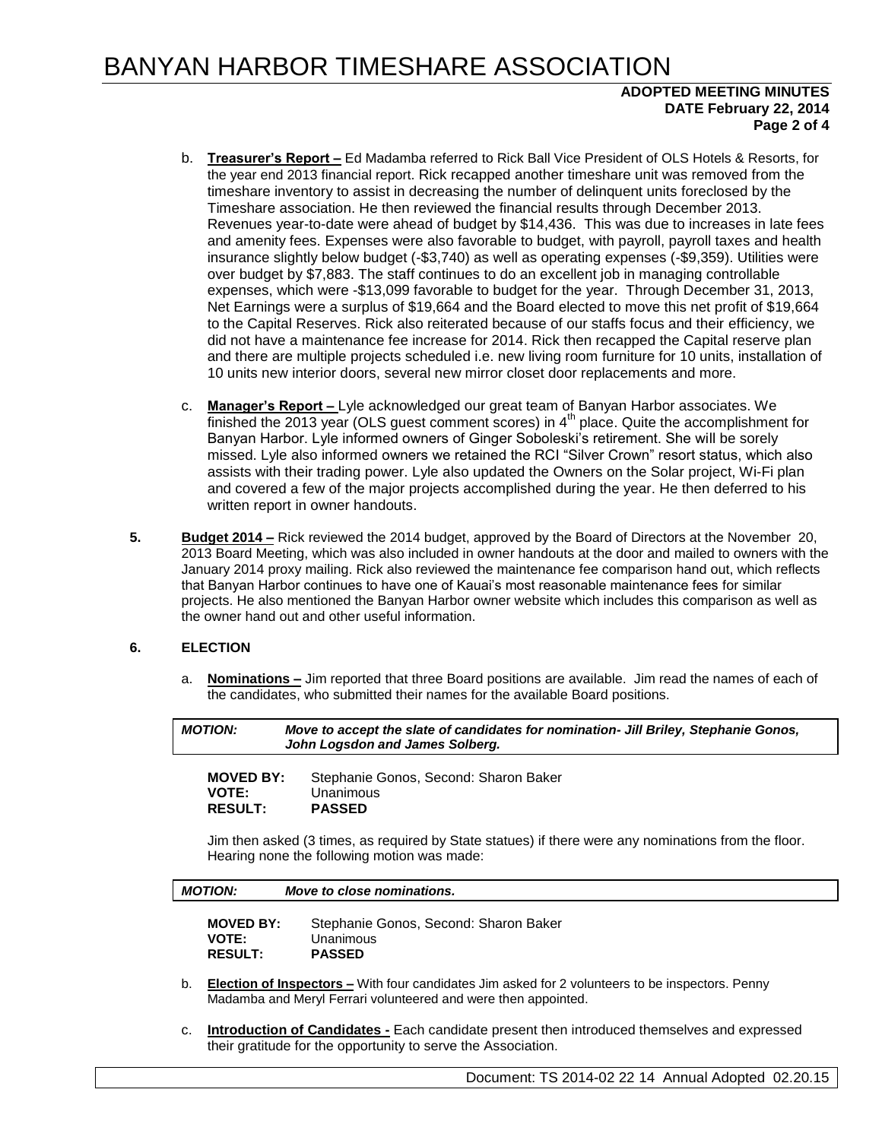## **ADOPTED MEETING MINUTES DATE February 22, 2014 Page 2 of 4**

- b. **Treasurer's Report –** Ed Madamba referred to Rick Ball Vice President of OLS Hotels & Resorts, for the year end 2013 financial report. Rick recapped another timeshare unit was removed from the timeshare inventory to assist in decreasing the number of delinquent units foreclosed by the Timeshare association. He then reviewed the financial results through December 2013. Revenues year-to-date were ahead of budget by \$14,436. This was due to increases in late fees and amenity fees. Expenses were also favorable to budget, with payroll, payroll taxes and health insurance slightly below budget (-\$3,740) as well as operating expenses (-\$9,359). Utilities were over budget by \$7,883. The staff continues to do an excellent job in managing controllable expenses, which were -\$13,099 favorable to budget for the year. Through December 31, 2013, Net Earnings were a surplus of \$19,664 and the Board elected to move this net profit of \$19,664 to the Capital Reserves. Rick also reiterated because of our staffs focus and their efficiency, we did not have a maintenance fee increase for 2014. Rick then recapped the Capital reserve plan and there are multiple projects scheduled i.e. new living room furniture for 10 units, installation of 10 units new interior doors, several new mirror closet door replacements and more.
- c. **Manager's Report –** Lyle acknowledged our great team of Banyan Harbor associates. We finished the 2013 year (OLS quest comment scores) in  $4<sup>th</sup>$  place. Quite the accomplishment for Banyan Harbor. Lyle informed owners of Ginger Soboleski's retirement. She will be sorely missed. Lyle also informed owners we retained the RCI "Silver Crown" resort status, which also assists with their trading power. Lyle also updated the Owners on the Solar project, Wi-Fi plan and covered a few of the major projects accomplished during the year. He then deferred to his written report in owner handouts.
- **5. Budget 2014 –** Rick reviewed the 2014 budget, approved by the Board of Directors at the November 20, 2013 Board Meeting, which was also included in owner handouts at the door and mailed to owners with the January 2014 proxy mailing. Rick also reviewed the maintenance fee comparison hand out, which reflects that Banyan Harbor continues to have one of Kauai's most reasonable maintenance fees for similar projects. He also mentioned the Banyan Harbor owner website which includes this comparison as well as the owner hand out and other useful information.

### **6. ELECTION**

a. **Nominations –** Jim reported that three Board positions are available. Jim read the names of each of the candidates, who submitted their names for the available Board positions.

| <b>MOTION:</b>                                     | Move to accept the slate of candidates for nomination- Jill Briley, Stephanie Gonos,<br>John Logsdon and James Solberg. |  |
|----------------------------------------------------|-------------------------------------------------------------------------------------------------------------------------|--|
| <b>MOVED BY:</b><br><b>VOTE:</b><br><b>RESULT:</b> | Stephanie Gonos, Second: Sharon Baker<br>Unanimous<br><b>PASSED</b>                                                     |  |
|                                                    | lim than asked (2 times, as required by State statues) if there were any pominations from the floor                     |  |

Jim then asked (3 times, as required by State statues) if there were any nominations from the floor. Hearing none the following motion was made:

| <b>MOTION:</b>   | Move to close nominations.            |
|------------------|---------------------------------------|
| <b>MOVED BY:</b> | Stephanie Gonos, Second: Sharon Baker |
| <b>VOTE:</b>     | Unanimous                             |
| <b>RESULT:</b>   | <b>PASSED</b>                         |

- b. **Election of Inspectors –** With four candidates Jim asked for 2 volunteers to be inspectors. Penny Madamba and Meryl Ferrari volunteered and were then appointed.
- c. **Introduction of Candidates -** Each candidate present then introduced themselves and expressed their gratitude for the opportunity to serve the Association.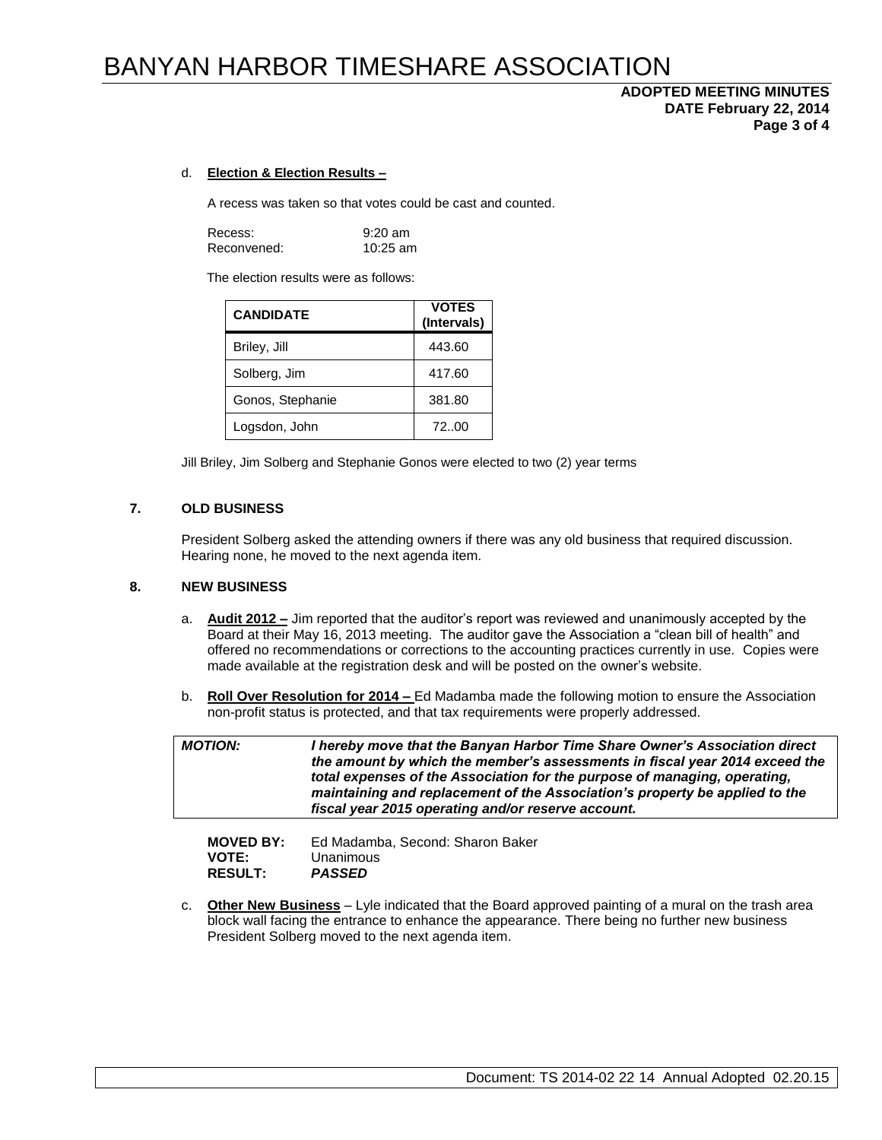## **ADOPTED MEETING MINUTES DATE February 22, 2014 Page 3 of 4**

#### d. **Election & Election Results –**

A recess was taken so that votes could be cast and counted.

| Recess:     | $9:20$ am  |
|-------------|------------|
| Reconvened: | $10:25$ am |

The election results were as follows:

| <b>CANDIDATE</b> | <b>VOTES</b><br>(Intervals) |
|------------------|-----------------------------|
| Briley, Jill     | 443.60                      |
| Solberg, Jim     | 417.60                      |
| Gonos, Stephanie | 381.80                      |
| Logsdon, John    | 72.00                       |

Jill Briley, Jim Solberg and Stephanie Gonos were elected to two (2) year terms

## **7. OLD BUSINESS**

President Solberg asked the attending owners if there was any old business that required discussion. Hearing none, he moved to the next agenda item.

### **8. NEW BUSINESS**

- a. **Audit 2012 –** Jim reported that the auditor's report was reviewed and unanimously accepted by the Board at their May 16, 2013 meeting. The auditor gave the Association a "clean bill of health" and offered no recommendations or corrections to the accounting practices currently in use. Copies were made available at the registration desk and will be posted on the owner's website.
- b. **Roll Over Resolution for 2014 –** Ed Madamba made the following motion to ensure the Association non-profit status is protected, and that tax requirements were properly addressed.

| <b>MOTION:</b> | I hereby move that the Banyan Harbor Time Share Owner's Association direct<br>the amount by which the member's assessments in fiscal year 2014 exceed the<br>total expenses of the Association for the purpose of managing, operating,<br>maintaining and replacement of the Association's property be applied to the<br>fiscal year 2015 operating and/or reserve account. |
|----------------|-----------------------------------------------------------------------------------------------------------------------------------------------------------------------------------------------------------------------------------------------------------------------------------------------------------------------------------------------------------------------------|
|----------------|-----------------------------------------------------------------------------------------------------------------------------------------------------------------------------------------------------------------------------------------------------------------------------------------------------------------------------------------------------------------------------|

| <b>MOVED BY:</b> | Ed Madamba, Second: Sharon Baker |
|------------------|----------------------------------|
| <b>VOTE:</b>     | Unanimous                        |
| <b>RESULT:</b>   | PASSED                           |

c. **Other New Business** – Lyle indicated that the Board approved painting of a mural on the trash area block wall facing the entrance to enhance the appearance. There being no further new business President Solberg moved to the next agenda item.